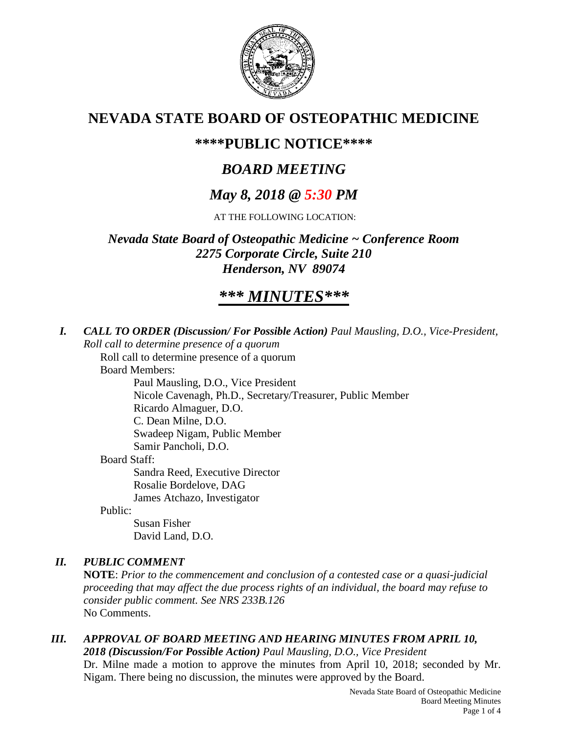

# **NEVADA STATE BOARD OF OSTEOPATHIC MEDICINE**

## **\*\*\*\*PUBLIC NOTICE\*\*\*\***

# *BOARD MEETING*

# *May 8, 2018 @ 5:30 PM*

AT THE FOLLOWING LOCATION:

*Nevada State Board of Osteopathic Medicine ~ Conference Room 2275 Corporate Circle, Suite 210 Henderson, NV 89074*

# *\*\*\* MINUTES\*\*\**

*I. CALL TO ORDER (Discussion/ For Possible Action) Paul Mausling, D.O., Vice-President, Roll call to determine presence of a quorum*

Roll call to determine presence of a quorum

Board Members:

Paul Mausling, D.O., Vice President Nicole Cavenagh, Ph.D., Secretary/Treasurer, Public Member Ricardo Almaguer, D.O. C. Dean Milne, D.O. Swadeep Nigam, Public Member

Samir Pancholi, D.O.

Board Staff:

Sandra Reed, Executive Director Rosalie Bordelove, DAG James Atchazo, Investigator

Public:

Susan Fisher David Land, D.O.

## *II. PUBLIC COMMENT*

**NOTE**: *Prior to the commencement and conclusion of a contested case or a quasi-judicial proceeding that may affect the due process rights of an individual, the board may refuse to consider public comment. See NRS 233B.126* No Comments.

### *III. APPROVAL OF BOARD MEETING AND HEARING MINUTES FROM APRIL 10, 2018 (Discussion/For Possible Action) Paul Mausling, D.O., Vice President*

Dr. Milne made a motion to approve the minutes from April 10, 2018; seconded by Mr. Nigam. There being no discussion, the minutes were approved by the Board.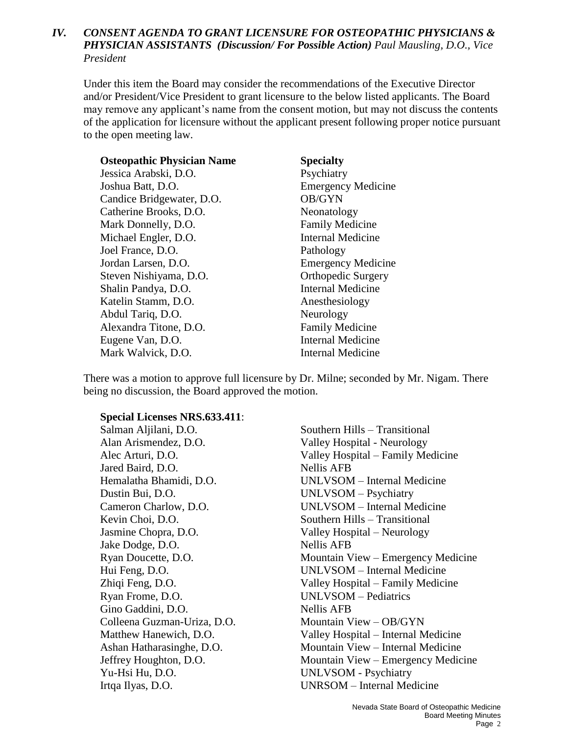### *IV. CONSENT AGENDA TO GRANT LICENSURE FOR OSTEOPATHIC PHYSICIANS & PHYSICIAN ASSISTANTS (Discussion/ For Possible Action) Paul Mausling, D.O., Vice President*

Under this item the Board may consider the recommendations of the Executive Director and/or President/Vice President to grant licensure to the below listed applicants. The Board may remove any applicant's name from the consent motion, but may not discuss the contents of the application for licensure without the applicant present following proper notice pursuant to the open meeting law.

| <b>Osteopathic Physician Name</b> | <b>Specialty</b>          |
|-----------------------------------|---------------------------|
| Jessica Arabski, D.O.             | Psychiatry                |
| Joshua Batt, D.O.                 | <b>Emergency Medicine</b> |
| Candice Bridgewater, D.O.         | OB/GYN                    |
| Catherine Brooks, D.O.            | Neonatology               |
| Mark Donnelly, D.O.               | <b>Family Medicine</b>    |
| Michael Engler, D.O.              | <b>Internal Medicine</b>  |
| Joel France, D.O.                 | Pathology                 |
| Jordan Larsen, D.O.               | <b>Emergency Medicine</b> |
| Steven Nishiyama, D.O.            | <b>Orthopedic Surgery</b> |
| Shalin Pandya, D.O.               | <b>Internal Medicine</b>  |
| Katelin Stamm, D.O.               | Anesthesiology            |
| Abdul Tariq, D.O.                 | Neurology                 |
| Alexandra Titone, D.O.            | <b>Family Medicine</b>    |
| Eugene Van, D.O.                  | <b>Internal Medicine</b>  |
| Mark Walvick, D.O.                | Internal Medicine         |

There was a motion to approve full licensure by Dr. Milne; seconded by Mr. Nigam. There being no discussion, the Board approved the motion.

#### **Special Licenses NRS.633.411**:

Alan Arismendez, D.O. Valley Hospital - Neurology Jared Baird, D.O. Nellis AFB Dustin Bui, D.O. UNLVSOM – Psychiatry Kevin Choi, D.O. Southern Hills – Transitional Jasmine Chopra, D.O. Valley Hospital – Neurology Jake Dodge, D.O. Nellis AFB Ryan Frome, D.O. UNLVSOM – Pediatrics Gino Gaddini, D.O. Nellis AFB Colleena Guzman-Uriza, D.O. Mountain View – OB/GYN Yu-Hsi Hu, D.O. UNLVSOM - Psychiatry

Salman Aljilani, D.O. Southern Hills – Transitional Alec Arturi, D.O. Valley Hospital – Family Medicine Hemalatha Bhamidi, D.O. UNLVSOM – Internal Medicine Cameron Charlow, D.O. UNLVSOM – Internal Medicine Ryan Doucette, D.O. Mountain View – Emergency Medicine Hui Feng, D.O. UNLVSOM – Internal Medicine Zhiqi Feng, D.O. Valley Hospital – Family Medicine Matthew Hanewich, D.O. Valley Hospital – Internal Medicine Ashan Hatharasinghe, D.O. Mountain View – Internal Medicine Jeffrey Houghton, D.O. Mountain View – Emergency Medicine Irtqa Ilyas, D.O. UNRSOM – Internal Medicine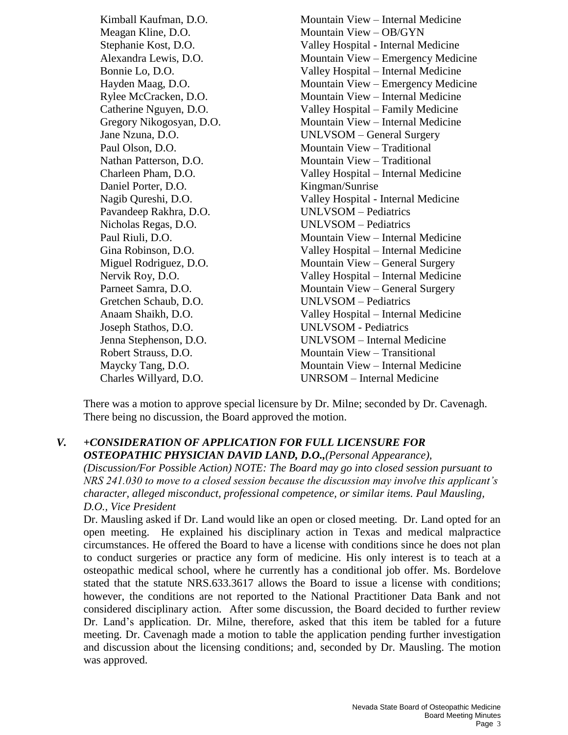Meagan Kline, D.O. Mountain View – OB/GYN Paul Olson, D.O. Mountain View – Traditional Nathan Patterson, D.O. Mountain View – Traditional Daniel Porter, D.O. Kingman/Sunrise Pavandeep Rakhra, D.O. UNLVSOM – Pediatrics Nicholas Regas, D.O. UNLVSOM – Pediatrics Gretchen Schaub, D.O. UNLVSOM – Pediatrics Joseph Stathos, D.O. UNLVSOM - Pediatrics

Kimball Kaufman, D.O. Mountain View – Internal Medicine Stephanie Kost, D.O. Valley Hospital - Internal Medicine Alexandra Lewis, D.O. Mountain View – Emergency Medicine Bonnie Lo, D.O. Valley Hospital – Internal Medicine Hayden Maag, D.O. Mountain View – Emergency Medicine Rylee McCracken, D.O. Mountain View – Internal Medicine Catherine Nguyen, D.O. Valley Hospital – Family Medicine Gregory Nikogosyan, D.O. Mountain View – Internal Medicine Jane Nzuna, D.O. UNLVSOM – General Surgery Charleen Pham, D.O. Valley Hospital – Internal Medicine Nagib Qureshi, D.O. Valley Hospital - Internal Medicine Paul Riuli, D.O. Mountain View – Internal Medicine Gina Robinson, D.O. Valley Hospital – Internal Medicine Miguel Rodriguez, D.O. Mountain View – General Surgery Nervik Roy, D.O. Valley Hospital – Internal Medicine Parneet Samra, D.O. Mountain View – General Surgery Anaam Shaikh, D.O. Valley Hospital – Internal Medicine Jenna Stephenson, D.O. UNLVSOM – Internal Medicine Robert Strauss, D.O. Mountain View – Transitional Maycky Tang, D.O. Mountain View – Internal Medicine Charles Willyard, D.O. UNRSOM – Internal Medicine

There was a motion to approve special licensure by Dr. Milne; seconded by Dr. Cavenagh. There being no discussion, the Board approved the motion.

### *V. +CONSIDERATION OF APPLICATION FOR FULL LICENSURE FOR OSTEOPATHIC PHYSICIAN DAVID LAND, D.O.,(Personal Appearance),*

*(Discussion/For Possible Action) NOTE: The Board may go into closed session pursuant to NRS 241.030 to move to a closed session because the discussion may involve this applicant's character, alleged misconduct, professional competence, or similar items. Paul Mausling, D.O., Vice President* 

Dr. Mausling asked if Dr. Land would like an open or closed meeting. Dr. Land opted for an open meeting. He explained his disciplinary action in Texas and medical malpractice circumstances. He offered the Board to have a license with conditions since he does not plan to conduct surgeries or practice any form of medicine. His only interest is to teach at a osteopathic medical school, where he currently has a conditional job offer. Ms. Bordelove stated that the statute NRS.633.3617 allows the Board to issue a license with conditions; however, the conditions are not reported to the National Practitioner Data Bank and not considered disciplinary action. After some discussion, the Board decided to further review Dr. Land's application. Dr. Milne, therefore, asked that this item be tabled for a future meeting. Dr. Cavenagh made a motion to table the application pending further investigation and discussion about the licensing conditions; and, seconded by Dr. Mausling. The motion was approved.